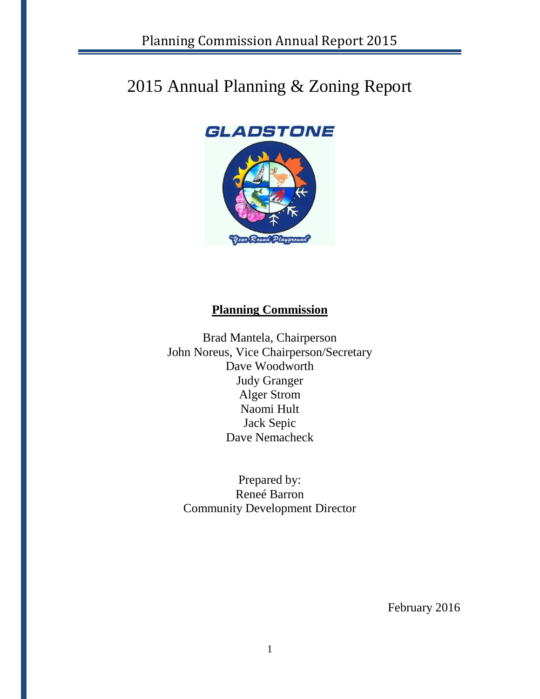# 2015 Annual Planning & Zoning Report

# **GLADSTONE**



## **Planning Commission**

Brad Mantela, Chairperson John Noreus, Vice Chairperson/Secretary Dave Woodworth Judy Granger Alger Strom Naomi Hult Jack Sepic Dave Nemacheck

Prepared by: Reneé Barron Community Development Director

February 2016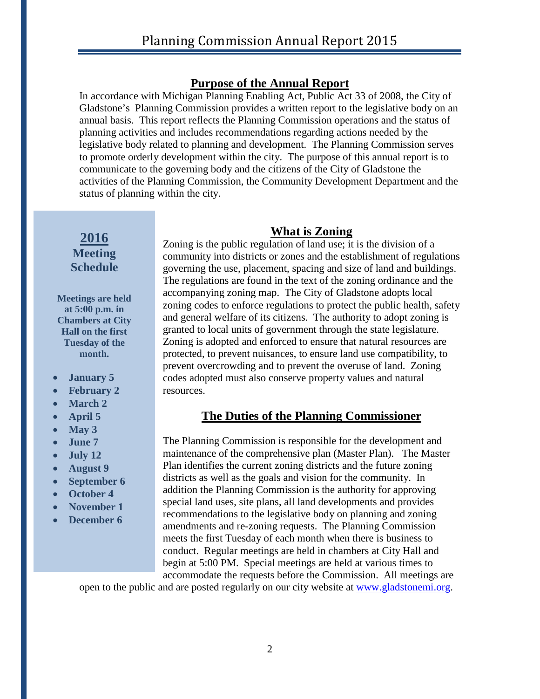### **Purpose of the Annual Report**

In accordance with Michigan Planning Enabling Act, Public Act 33 of 2008, the City of Gladstone's Planning Commission provides a written report to the legislative body on an annual basis. This report reflects the Planning Commission operations and the status of planning activities and includes recommendations regarding actions needed by the legislative body related to planning and development. The Planning Commission serves to promote orderly development within the city. The purpose of this annual report is to communicate to the governing body and the citizens of the City of Gladstone the activities of the Planning Commission, the Community Development Department and the status of planning within the city.

### **2016 Meeting Schedule**

**Meetings are held at 5:00 p.m. in Chambers at City Hall on the first Tuesday of the month.**

- **January 5**
- **February 2**
- **March 2**
- **April 5**
- **May 3**
- **June 7**
- **July 12**
- **August 9**
- **September 6**
- **October 4**
- **November 1**
- **December 6**

### **What is Zoning**

Zoning is the public regulation of land use; it is the division of a community into districts or zones and the establishment of regulations governing the use, placement, spacing and size of land and buildings. The regulations are found in the text of the zoning ordinance and the accompanying zoning map. The City of Gladstone adopts local zoning codes to enforce regulations to protect the public health, safety and general welfare of its citizens. The authority to adopt zoning is granted to local units of government through the state legislature. Zoning is adopted and enforced to ensure that natural resources are protected, to prevent nuisances, to ensure land use compatibility, to prevent overcrowding and to prevent the overuse of land. Zoning codes adopted must also conserve property values and natural resources.

### **The Duties of the Planning Commissioner**

The Planning Commission is responsible for the development and maintenance of the comprehensive plan (Master Plan). The Master Plan identifies the current zoning districts and the future zoning districts as well as the goals and vision for the community. In addition the Planning Commission is the authority for approving special land uses, site plans, all land developments and provides recommendations to the legislative body on planning and zoning amendments and re-zoning requests. The Planning Commission meets the first Tuesday of each month when there is business to conduct. Regular meetings are held in chambers at City Hall and begin at 5:00 PM. Special meetings are held at various times to accommodate the requests before the Commission. All meetings are

open to the public and are posted regularly on our city website at [www.gladstonemi.org.](http://www.gladstonemi.org/)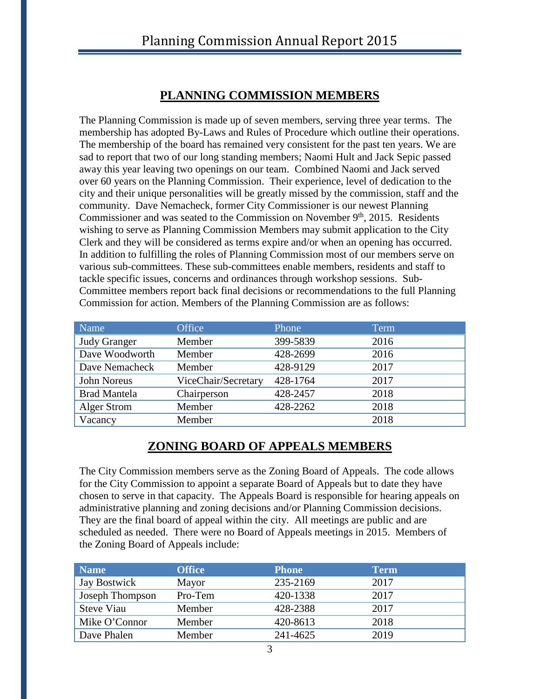### **PLANNING COMMISSION MEMBERS**

The Planning Commission is made up of seven members, serving three year terms. The membership has adopted By-Laws and Rules of Procedure which outline their operations. The membership of the board has remained very consistent for the past ten years. We are sad to report that two of our long standing members; Naomi Hult and Jack Sepic passed away this year leaving two openings on our team. Combined Naomi and Jack served over 60 years on the Planning Commission. Their experience, level of dedication to the city and their unique personalities will be greatly missed by the commission, staff and the community. Dave Nemacheck, former City Commissioner is our newest Planning Commissioner and was seated to the Commission on November 9<sup>th</sup>, 2015. Residents wishing to serve as Planning Commission Members may submit application to the City Clerk and they will be considered as terms expire and/or when an opening has occurred. In addition to fulfilling the roles of Planning Commission most of our members serve on various sub-committees. These sub-committees enable members, residents and staff to tackle specific issues, concerns and ordinances through workshop sessions. Sub-Committee members report back final decisions or recommendations to the full Planning Commission for action. Members of the Planning Commission are as follows:

| Name                | Office              | Phone    | Term |
|---------------------|---------------------|----------|------|
| <b>Judy Granger</b> | Member              | 399-5839 | 2016 |
| Dave Woodworth      | Member              | 428-2699 | 2016 |
| Dave Nemacheck      | Member              | 428-9129 | 2017 |
| John Noreus         | ViceChair/Secretary | 428-1764 | 2017 |
| <b>Brad Mantela</b> | Chairperson         | 428-2457 | 2018 |
| Alger Strom         | Member              | 428-2262 | 2018 |
| Vacancy             | Member              |          | 2018 |

## **ZONING BOARD OF APPEALS MEMBERS**

The City Commission members serve as the Zoning Board of Appeals. The code allows for the City Commission to appoint a separate Board of Appeals but to date they have chosen to serve in that capacity. The Appeals Board is responsible for hearing appeals on administrative planning and zoning decisions and/or Planning Commission decisions. They are the final board of appeal within the city. All meetings are public and are scheduled as needed. There were no Board of Appeals meetings in 2015. Members of the Zoning Board of Appeals include:

| <b>Name</b>         | <b>Office</b> | <b>Phone</b> | Term |
|---------------------|---------------|--------------|------|
| <b>Jay Bostwick</b> | Mayor         | 235-2169     | 2017 |
| Joseph Thompson     | Pro-Tem       | 420-1338     | 2017 |
| <b>Steve Viau</b>   | Member        | 428-2388     | 2017 |
| Mike O'Connor       | Member        | 420-8613     | 2018 |
| Dave Phalen         | Member        | 241-4625     | 2019 |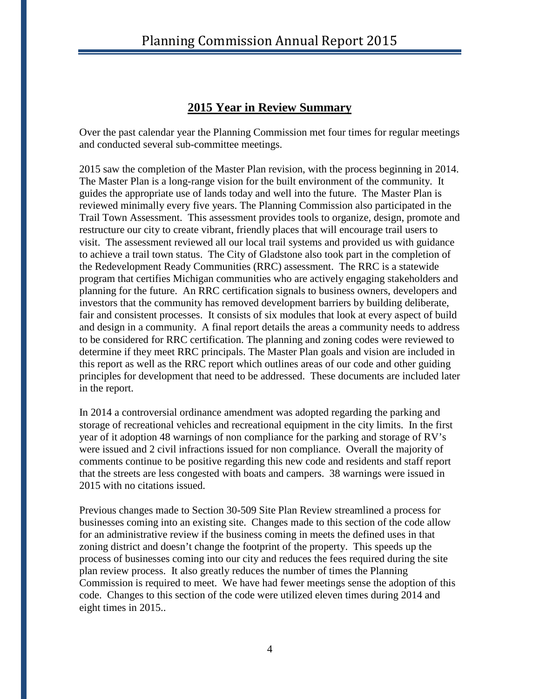### **2015 Year in Review Summary**

Over the past calendar year the Planning Commission met four times for regular meetings and conducted several sub-committee meetings.

2015 saw the completion of the Master Plan revision, with the process beginning in 2014. The Master Plan is a long-range vision for the built environment of the community. It guides the appropriate use of lands today and well into the future. The Master Plan is reviewed minimally every five years. The Planning Commission also participated in the Trail Town Assessment. This assessment provides tools to organize, design, promote and restructure our city to create vibrant, friendly places that will encourage trail users to visit. The assessment reviewed all our local trail systems and provided us with guidance to achieve a trail town status. The City of Gladstone also took part in the completion of the Redevelopment Ready Communities (RRC) assessment. The RRC is a statewide program that certifies Michigan communities who are actively engaging stakeholders and planning for the future. An RRC certification signals to business owners, developers and investors that the community has removed development barriers by building deliberate, fair and consistent processes. It consists of six modules that look at every aspect of build and design in a community. A final report details the areas a community needs to address to be considered for RRC certification. The planning and zoning codes were reviewed to determine if they meet RRC principals. The Master Plan goals and vision are included in this report as well as the RRC report which outlines areas of our code and other guiding principles for development that need to be addressed. These documents are included later in the report.

In 2014 a controversial ordinance amendment was adopted regarding the parking and storage of recreational vehicles and recreational equipment in the city limits. In the first year of it adoption 48 warnings of non compliance for the parking and storage of RV's were issued and 2 civil infractions issued for non compliance. Overall the majority of comments continue to be positive regarding this new code and residents and staff report that the streets are less congested with boats and campers. 38 warnings were issued in 2015 with no citations issued.

Previous changes made to Section 30-509 Site Plan Review streamlined a process for businesses coming into an existing site. Changes made to this section of the code allow for an administrative review if the business coming in meets the defined uses in that zoning district and doesn't change the footprint of the property. This speeds up the process of businesses coming into our city and reduces the fees required during the site plan review process. It also greatly reduces the number of times the Planning Commission is required to meet. We have had fewer meetings sense the adoption of this code. Changes to this section of the code were utilized eleven times during 2014 and eight times in 2015..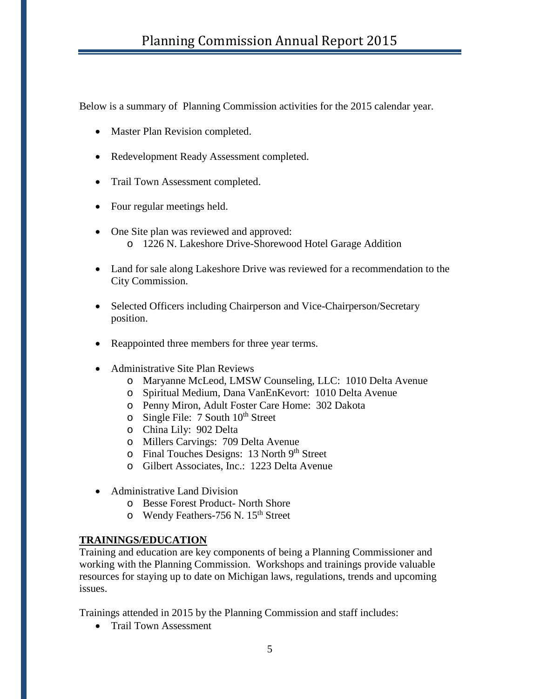Below is a summary of Planning Commission activities for the 2015 calendar year.

- Master Plan Revision completed.
- Redevelopment Ready Assessment completed.
- Trail Town Assessment completed.
- Four regular meetings held.
- One Site plan was reviewed and approved: o 1226 N. Lakeshore Drive-Shorewood Hotel Garage Addition
- Land for sale along Lakeshore Drive was reviewed for a recommendation to the City Commission.
- Selected Officers including Chairperson and Vice-Chairperson/Secretary position.
- Reappointed three members for three year terms.
- Administrative Site Plan Reviews
	- o Maryanne McLeod, LMSW Counseling, LLC: 1010 Delta Avenue
	- o Spiritual Medium, Dana VanEnKevort: 1010 Delta Avenue
	- o Penny Miron, Adult Foster Care Home: 302 Dakota
	- $\circ$  Single File: 7 South 10<sup>th</sup> Street
	- o China Lily: 902 Delta
	- o Millers Carvings: 709 Delta Avenue
	- o Final Touches Designs: 13 North 9th Street
	- o Gilbert Associates, Inc.: 1223 Delta Avenue
- Administrative Land Division
	- o Besse Forest Product- North Shore
	- o Wendy Feathers-756 N. 15<sup>th</sup> Street

### **TRAININGS/EDUCATION**

Training and education are key components of being a Planning Commissioner and working with the Planning Commission. Workshops and trainings provide valuable resources for staying up to date on Michigan laws, regulations, trends and upcoming issues.

Trainings attended in 2015 by the Planning Commission and staff includes:

• Trail Town Assessment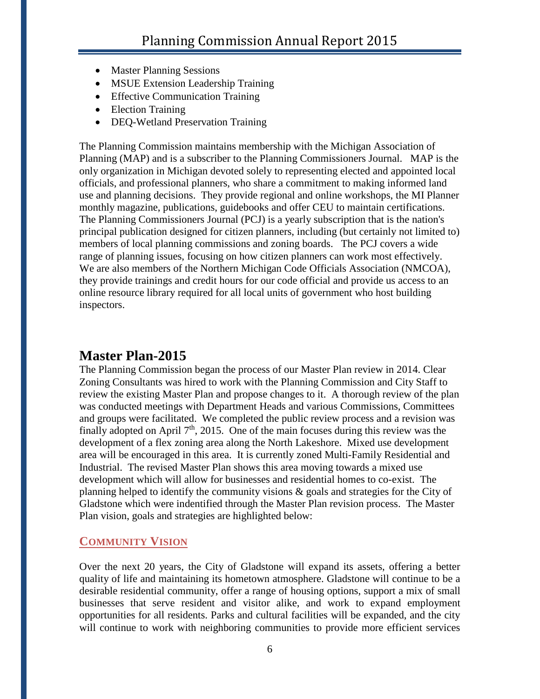- Master Planning Sessions
- MSUE Extension Leadership Training
- Effective Communication Training
- Election Training
- DEQ-Wetland Preservation Training

The Planning Commission maintains membership with the Michigan Association of Planning (MAP) and is a subscriber to the Planning Commissioners Journal. MAP is the only organization in Michigan devoted solely to representing elected and appointed local officials, and professional planners, who share a commitment to making informed land use and planning decisions. They provide regional and online workshops, the MI Planner monthly magazine, publications, guidebooks and offer CEU to maintain certifications. The Planning Commissioners Journal (PCJ) is a yearly subscription that is the nation's principal publication designed for citizen planners, including (but certainly not limited to) members of local planning commissions and zoning boards. The PCJ covers a wide range of planning issues, focusing on how citizen planners can work most effectively. We are also members of the Northern Michigan Code Officials Association (NMCOA), they provide trainings and credit hours for our code official and provide us access to an online resource library required for all local units of government who host building inspectors.

## **Master Plan-2015**

The Planning Commission began the process of our Master Plan review in 2014. Clear Zoning Consultants was hired to work with the Planning Commission and City Staff to review the existing Master Plan and propose changes to it. A thorough review of the plan was conducted meetings with Department Heads and various Commissions, Committees and groups were facilitated. We completed the public review process and a revision was finally adopted on April  $7<sup>th</sup>$ , 2015. One of the main focuses during this review was the development of a flex zoning area along the North Lakeshore. Mixed use development area will be encouraged in this area. It is currently zoned Multi-Family Residential and Industrial. The revised Master Plan shows this area moving towards a mixed use development which will allow for businesses and residential homes to co-exist. The planning helped to identify the community visions & goals and strategies for the City of Gladstone which were indentified through the Master Plan revision process. The Master Plan vision, goals and strategies are highlighted below:

### **COMMUNITY VISION**

Over the next 20 years, the City of Gladstone will expand its assets, offering a better quality of life and maintaining its hometown atmosphere. Gladstone will continue to be a desirable residential community, offer a range of housing options, support a mix of small businesses that serve resident and visitor alike, and work to expand employment opportunities for all residents. Parks and cultural facilities will be expanded, and the city will continue to work with neighboring communities to provide more efficient services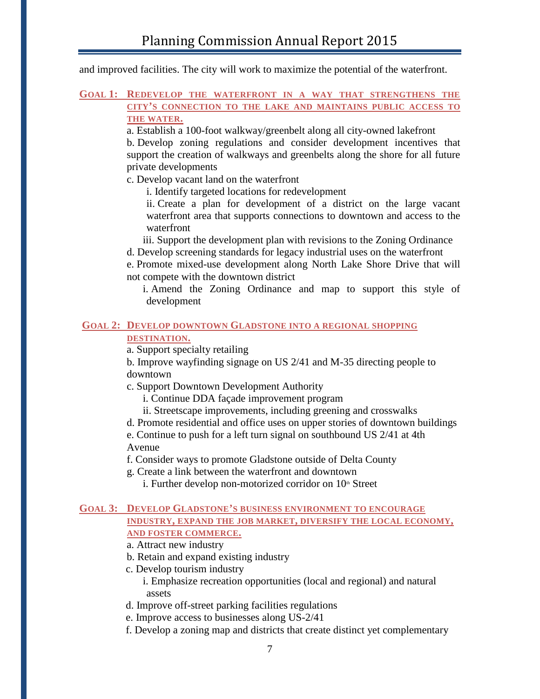and improved facilities. The city will work to maximize the potential of the waterfront.

#### **GOAL 1: REDEVELOP THE WATERFRONT IN A WAY THAT STRENGTHENS THE CITY'S CONNECTION TO THE LAKE AND MAINTAINS PUBLIC ACCESS TO THE WATER.**

a. Establish a 100-foot walkway/greenbelt along all city-owned lakefront

b. Develop zoning regulations and consider development incentives that support the creation of walkways and greenbelts along the shore for all future private developments

c. Develop vacant land on the waterfront

i. Identify targeted locations for redevelopment

ii. Create a plan for development of a district on the large vacant waterfront area that supports connections to downtown and access to the waterfront

iii. Support the development plan with revisions to the Zoning Ordinance

d. Develop screening standards for legacy industrial uses on the waterfront

e. Promote mixed-use development along North Lake Shore Drive that will not compete with the downtown district

i. Amend the Zoning Ordinance and map to support this style of development

# **GOAL 2: DEVELOP DOWNTOWN GLADSTONE INTO A REGIONAL SHOPPING**

**DESTINATION.**

a. Support specialty retailing

b. Improve wayfinding signage on US 2/41 and M-35 directing people to downtown

c. Support Downtown Development Authority

i. Continue DDA façade improvement program

ii. Streetscape improvements, including greening and crosswalks

d. Promote residential and office uses on upper stories of downtown buildings

e. Continue to push for a left turn signal on southbound US 2/41 at 4th Avenue

f. Consider ways to promote Gladstone outside of Delta County

g. Create a link between the waterfront and downtown

i. Further develop non-motorized corridor on  $10<sup>th</sup>$  Street

#### **GOAL 3: DEVELOP GLADSTONE'S BUSINESS ENVIRONMENT TO ENCOURAGE INDUSTRY, EXPAND THE JOB MARKET, DIVERSIFY THE LOCAL ECONOMY, AND FOSTER COMMERCE.**

a. Attract new industry

b. Retain and expand existing industry

c. Develop tourism industry

i. Emphasize recreation opportunities (local and regional) and natural assets

d. Improve off-street parking facilities regulations

e. Improve access to businesses along US-2/41

f. Develop a zoning map and districts that create distinct yet complementary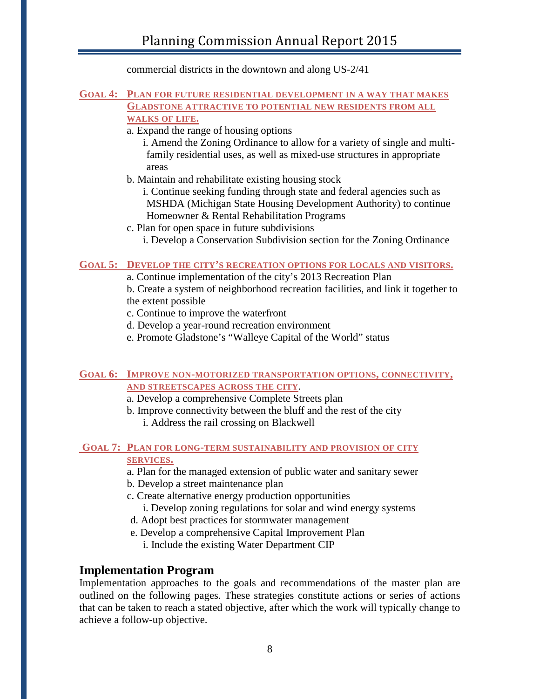commercial districts in the downtown and along US-2/41

#### **GOAL 4: PLAN FOR FUTURE RESIDENTIAL DEVELOPMENT IN A WAY THAT MAKES GLADSTONE ATTRACTIVE TO POTENTIAL NEW RESIDENTS FROM ALL WALKS OF LIFE.**

a. Expand the range of housing options

i. Amend the Zoning Ordinance to allow for a variety of single and multifamily residential uses, as well as mixed-use structures in appropriate areas

- b. Maintain and rehabilitate existing housing stock
	- i. Continue seeking funding through state and federal agencies such as MSHDA (Michigan State Housing Development Authority) to continue Homeowner & Rental Rehabilitation Programs
- c. Plan for open space in future subdivisions
	- i. Develop a Conservation Subdivision section for the Zoning Ordinance

### **GOAL 5: DEVELOP THE CITY'S RECREATION OPTIONS FOR LOCALS AND VISITORS.**

a. Continue implementation of the city's 2013 Recreation Plan

b. Create a system of neighborhood recreation facilities, and link it together to the extent possible

- c. Continue to improve the waterfront
- d. Develop a year-round recreation environment
- e. Promote Gladstone's "Walleye Capital of the World" status

#### **GOAL 6: IMPROVE NON-MOTORIZED TRANSPORTATION OPTIONS, CONNECTIVITY, AND STREETSCAPES ACROSS THE CITY**.

- a. Develop a comprehensive Complete Streets plan
- b. Improve connectivity between the bluff and the rest of the city i. Address the rail crossing on Blackwell

### **GOAL 7: PLAN FOR LONG-TERM SUSTAINABILITY AND PROVISION OF CITY SERVICES.**

- a. Plan for the managed extension of public water and sanitary sewer
- b. Develop a street maintenance plan
- c. Create alternative energy production opportunities
	- i. Develop zoning regulations for solar and wind energy systems
- d. Adopt best practices for stormwater management
- e. Develop a comprehensive Capital Improvement Plan
	- i. Include the existing Water Department CIP

### **Implementation Program**

Implementation approaches to the goals and recommendations of the master plan are outlined on the following pages. These strategies constitute actions or series of actions that can be taken to reach a stated objective, after which the work will typically change to achieve a follow-up objective.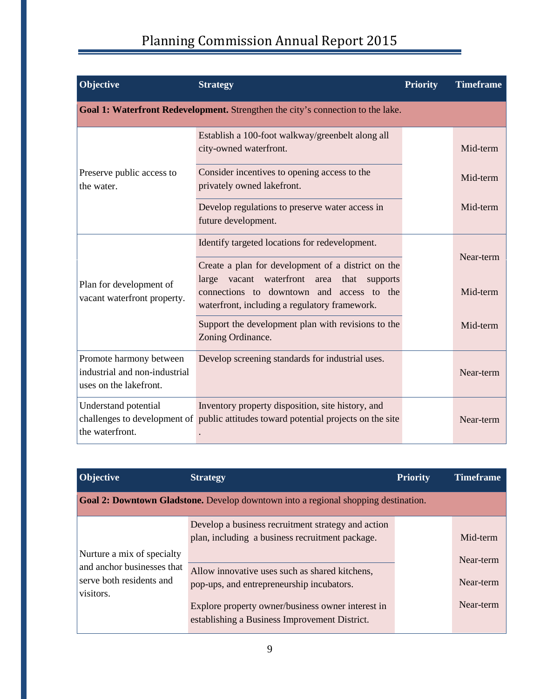| Objective                                                                          | <b>Strategy</b>                                                                                                                                                                                               | <b>Priority</b> | <b>Timeframe</b> |
|------------------------------------------------------------------------------------|---------------------------------------------------------------------------------------------------------------------------------------------------------------------------------------------------------------|-----------------|------------------|
|                                                                                    | Goal 1: Waterfront Redevelopment. Strengthen the city's connection to the lake.                                                                                                                               |                 |                  |
|                                                                                    | Establish a 100-foot walkway/greenbelt along all<br>city-owned waterfront.                                                                                                                                    |                 | Mid-term         |
| Preserve public access to<br>the water.                                            | Consider incentives to opening access to the<br>privately owned lakefront.                                                                                                                                    |                 | Mid-term         |
|                                                                                    | Develop regulations to preserve water access in<br>future development.                                                                                                                                        |                 | Mid-term         |
|                                                                                    | Identify targeted locations for redevelopment.                                                                                                                                                                |                 | Near-term        |
| Plan for development of<br>vacant waterfront property.                             | Create a plan for development of a district on the<br>waterfront<br>large<br>vacant<br>area<br>that<br>supports<br>connections to downtown and access to the<br>waterfront, including a regulatory framework. |                 | Mid-term         |
|                                                                                    | Support the development plan with revisions to the<br>Zoning Ordinance.                                                                                                                                       |                 | Mid-term         |
| Promote harmony between<br>industrial and non-industrial<br>uses on the lakefront. | Develop screening standards for industrial uses.                                                                                                                                                              |                 | Near-term        |
| Understand potential<br>the waterfront.                                            | Inventory property disposition, site history, and<br>challenges to development of public attitudes toward potential projects on the site                                                                      |                 | Near-term        |

| <b>Objective</b>                                                    | <b>Strategy</b>                                                                                       | <b>Priority</b> | <b>Timeframe</b>       |
|---------------------------------------------------------------------|-------------------------------------------------------------------------------------------------------|-----------------|------------------------|
|                                                                     | Goal 2: Downtown Gladstone. Develop downtown into a regional shopping destination.                    |                 |                        |
| Nurture a mix of specialty                                          | Develop a business recruitment strategy and action<br>plan, including a business recruitment package. |                 | Mid-term               |
| and anchor businesses that<br>serve both residents and<br>visitors. | Allow innovative uses such as shared kitchens,<br>pop-ups, and entrepreneurship incubators.           |                 | Near-term<br>Near-term |
|                                                                     | Explore property owner/business owner interest in<br>establishing a Business Improvement District.    |                 | Near-term              |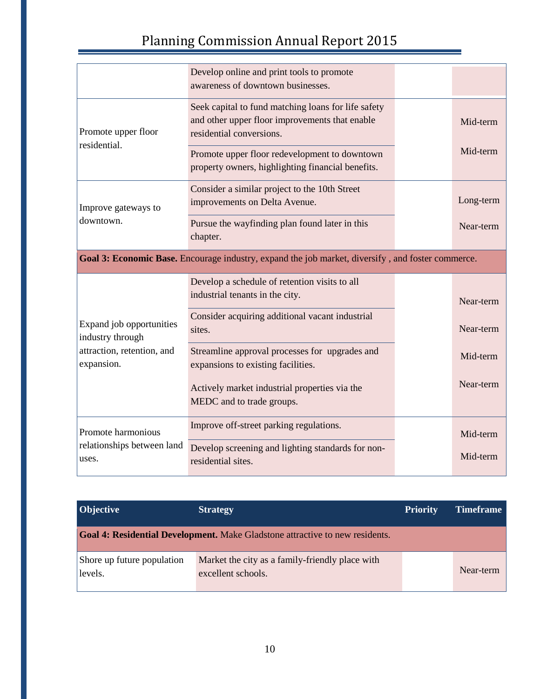|                                                              | Develop online and print tools to promote<br>awareness of downtown businesses.                                                    |           |
|--------------------------------------------------------------|-----------------------------------------------------------------------------------------------------------------------------------|-----------|
| Promote upper floor                                          | Seek capital to fund matching loans for life safety<br>and other upper floor improvements that enable<br>residential conversions. | Mid-term  |
| residential.                                                 | Promote upper floor redevelopment to downtown<br>property owners, highlighting financial benefits.                                | Mid-term  |
| Improve gateways to                                          | Consider a similar project to the 10th Street<br>improvements on Delta Avenue.                                                    | Long-term |
| downtown.                                                    | Pursue the wayfinding plan found later in this<br>chapter.                                                                        | Near-term |
|                                                              | Goal 3: Economic Base. Encourage industry, expand the job market, diversify, and foster commerce.                                 |           |
|                                                              |                                                                                                                                   |           |
|                                                              | Develop a schedule of retention visits to all<br>industrial tenants in the city.                                                  | Near-term |
| Expand job opportunities                                     | Consider acquiring additional vacant industrial<br>sites.                                                                         | Near-term |
| industry through<br>attraction, retention, and<br>expansion. | Streamline approval processes for upgrades and<br>expansions to existing facilities.                                              | Mid-term  |
|                                                              | Actively market industrial properties via the<br>MEDC and to trade groups.                                                        | Near-term |
| Promote harmonious                                           | Improve off-street parking regulations.                                                                                           | Mid-term  |

| Objective                             | <b>Strategy</b>                                                                     | <b>Priority</b> | <b>Timeframe</b> |
|---------------------------------------|-------------------------------------------------------------------------------------|-----------------|------------------|
|                                       | <b>Goal 4: Residential Development.</b> Make Gladstone attractive to new residents. |                 |                  |
| Shore up future population<br>levels. | Market the city as a family-friendly place with<br>excellent schools.               |                 | Near-term        |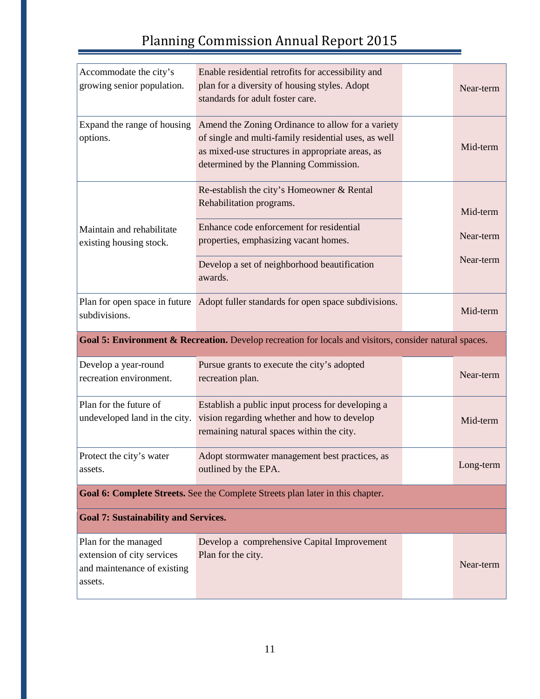| Accommodate the city's<br>growing senior population.    | Enable residential retrofits for accessibility and<br>plan for a diversity of housing styles. Adopt<br>standards for adult foster care.                                                                 | Near-term |
|---------------------------------------------------------|---------------------------------------------------------------------------------------------------------------------------------------------------------------------------------------------------------|-----------|
| Expand the range of housing<br>options.                 | Amend the Zoning Ordinance to allow for a variety<br>of single and multi-family residential uses, as well<br>as mixed-use structures in appropriate areas, as<br>determined by the Planning Commission. | Mid-term  |
|                                                         | Re-establish the city's Homeowner & Rental<br>Rehabilitation programs.                                                                                                                                  | Mid-term  |
| Maintain and rehabilitate<br>existing housing stock.    | Enhance code enforcement for residential<br>properties, emphasizing vacant homes.                                                                                                                       | Near-term |
|                                                         | Develop a set of neighborhood beautification<br>awards.                                                                                                                                                 | Near-term |
| Plan for open space in future<br>subdivisions.          | Adopt fuller standards for open space subdivisions.                                                                                                                                                     | Mid-term  |
|                                                         |                                                                                                                                                                                                         |           |
|                                                         | Goal 5: Environment & Recreation. Develop recreation for locals and visitors, consider natural spaces.                                                                                                  |           |
| Develop a year-round<br>recreation environment.         | Pursue grants to execute the city's adopted<br>recreation plan.                                                                                                                                         | Near-term |
| Plan for the future of<br>undeveloped land in the city. | Establish a public input process for developing a<br>vision regarding whether and how to develop<br>remaining natural spaces within the city.                                                           | Mid-term  |
| Protect the city's water<br>assets.                     | Adopt stormwater management best practices, as<br>outlined by the EPA.                                                                                                                                  | Long-term |
|                                                         | Goal 6: Complete Streets. See the Complete Streets plan later in this chapter.                                                                                                                          |           |
| <b>Goal 7: Sustainability and Services.</b>             |                                                                                                                                                                                                         |           |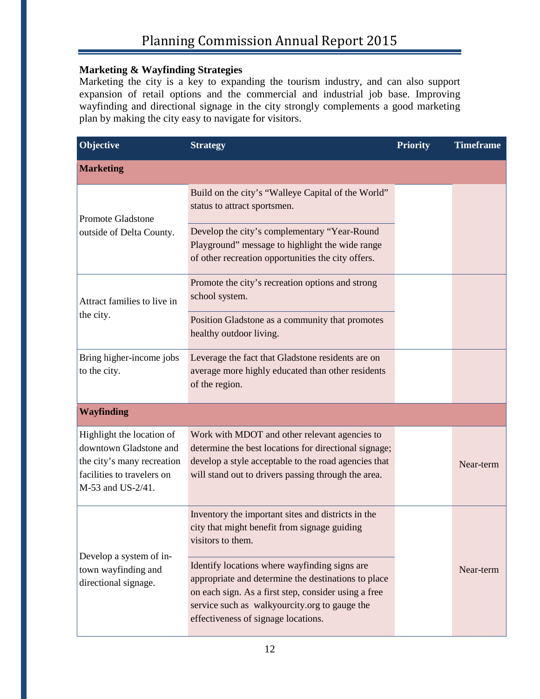### **Marketing & Wayfinding Strategies**

Marketing the city is a key to expanding the tourism industry, and can also support expansion of retail options and the commercial and industrial job base. Improving wayfinding and directional signage in the city strongly complements a good marketing plan by making the city easy to navigate for visitors.

| Objective                                                                                                                            | <b>Strategy</b>                                                                                                                                                                                                                                      | <b>Priority</b> | <b>Timeframe</b> |
|--------------------------------------------------------------------------------------------------------------------------------------|------------------------------------------------------------------------------------------------------------------------------------------------------------------------------------------------------------------------------------------------------|-----------------|------------------|
| <b>Marketing</b>                                                                                                                     |                                                                                                                                                                                                                                                      |                 |                  |
| <b>Promote Gladstone</b>                                                                                                             | Build on the city's "Walleye Capital of the World"<br>status to attract sportsmen.                                                                                                                                                                   |                 |                  |
| outside of Delta County.                                                                                                             | Develop the city's complementary "Year-Round<br>Playground" message to highlight the wide range<br>of other recreation opportunities the city offers.                                                                                                |                 |                  |
| Attract families to live in                                                                                                          | Promote the city's recreation options and strong<br>school system.                                                                                                                                                                                   |                 |                  |
| the city.                                                                                                                            | Position Gladstone as a community that promotes<br>healthy outdoor living.                                                                                                                                                                           |                 |                  |
| Bring higher-income jobs<br>to the city.                                                                                             | Leverage the fact that Gladstone residents are on<br>average more highly educated than other residents<br>of the region.                                                                                                                             |                 |                  |
| <b>Wayfinding</b>                                                                                                                    |                                                                                                                                                                                                                                                      |                 |                  |
| Highlight the location of<br>downtown Gladstone and<br>the city's many recreation<br>facilities to travelers on<br>M-53 and US-2/41. | Work with MDOT and other relevant agencies to<br>determine the best locations for directional signage;<br>develop a style acceptable to the road agencies that<br>will stand out to drivers passing through the area.                                |                 | Near-term        |
|                                                                                                                                      | Inventory the important sites and districts in the<br>city that might benefit from signage guiding<br>visitors to them.                                                                                                                              |                 |                  |
| Develop a system of in-<br>town wayfinding and<br>directional signage.                                                               | Identify locations where wayfinding signs are<br>appropriate and determine the destinations to place<br>on each sign. As a first step, consider using a free<br>service such as walkyourcity.org to gauge the<br>effectiveness of signage locations. |                 | Near-term        |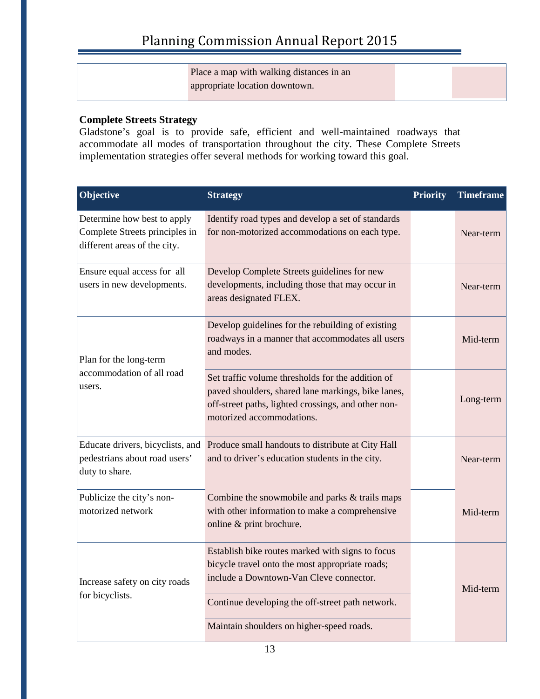Place a map with walking distances in an appropriate location downtown.

### **Complete Streets Strategy**

Gladstone's goal is to provide safe, efficient and well-maintained roadways that accommodate all modes of transportation throughout the city. These Complete Streets implementation strategies offer several methods for working toward this goal.

| Objective                                                                                     | <b>Strategy</b>                                                                                                                                                                             | <b>Priority</b> | <b>Timeframe</b> |
|-----------------------------------------------------------------------------------------------|---------------------------------------------------------------------------------------------------------------------------------------------------------------------------------------------|-----------------|------------------|
| Determine how best to apply<br>Complete Streets principles in<br>different areas of the city. | Identify road types and develop a set of standards<br>for non-motorized accommodations on each type.                                                                                        |                 | Near-term        |
| Ensure equal access for all<br>users in new developments.                                     | Develop Complete Streets guidelines for new<br>developments, including those that may occur in<br>areas designated FLEX.                                                                    |                 | Near-term        |
| Plan for the long-term                                                                        | Develop guidelines for the rebuilding of existing<br>roadways in a manner that accommodates all users<br>and modes.                                                                         |                 | Mid-term         |
| accommodation of all road<br>users.                                                           | Set traffic volume thresholds for the addition of<br>paved shoulders, shared lane markings, bike lanes,<br>off-street paths, lighted crossings, and other non-<br>motorized accommodations. |                 | Long-term        |
| Educate drivers, bicyclists, and<br>pedestrians about road users'<br>duty to share.           | Produce small handouts to distribute at City Hall<br>and to driver's education students in the city.                                                                                        |                 | Near-term        |
| Publicize the city's non-<br>motorized network                                                | Combine the snowmobile and parks & trails maps<br>with other information to make a comprehensive<br>online & print brochure.                                                                |                 | Mid-term         |
| Increase safety on city roads                                                                 | Establish bike routes marked with signs to focus<br>bicycle travel onto the most appropriate roads;<br>include a Downtown-Van Cleve connector.                                              |                 | Mid-term         |
| for bicyclists.                                                                               | Continue developing the off-street path network.<br>Maintain shoulders on higher-speed roads.                                                                                               |                 |                  |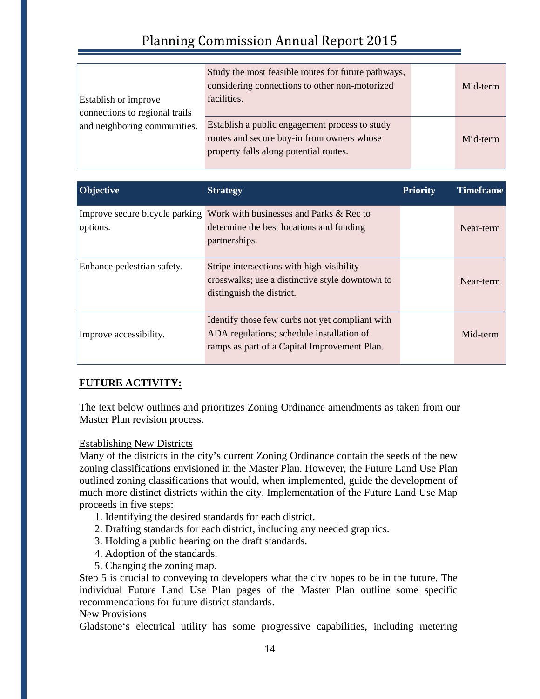|                                | Study the most feasible routes for future pathways,<br>considering connections to other non-motorized | Mid-term |
|--------------------------------|-------------------------------------------------------------------------------------------------------|----------|
| Establish or improve           | facilities.                                                                                           |          |
| connections to regional trails |                                                                                                       |          |
| and neighboring communities.   | Establish a public engagement process to study                                                        |          |
|                                | routes and secure buy-in from owners whose                                                            | Mid-term |
|                                | property falls along potential routes.                                                                |          |

| Objective                  | <b>Strategy</b>                                                                                                                              | <b>Priority</b> | <b>Timeframe</b> |
|----------------------------|----------------------------------------------------------------------------------------------------------------------------------------------|-----------------|------------------|
| options.                   | Improve secure bicycle parking Work with businesses and Parks & Rec to<br>determine the best locations and funding<br>partnerships.          |                 | Near-term        |
| Enhance pedestrian safety. | Stripe intersections with high-visibility<br>crosswalks; use a distinctive style downtown to<br>distinguish the district.                    |                 | Near-term        |
| Improve accessibility.     | Identify those few curbs not yet compliant with<br>ADA regulations; schedule installation of<br>ramps as part of a Capital Improvement Plan. |                 | Mid-term         |

### **FUTURE ACTIVITY:**

The text below outlines and prioritizes Zoning Ordinance amendments as taken from our Master Plan revision process.

### Establishing New Districts

Many of the districts in the city's current Zoning Ordinance contain the seeds of the new zoning classifications envisioned in the Master Plan. However, the Future Land Use Plan outlined zoning classifications that would, when implemented, guide the development of much more distinct districts within the city. Implementation of the Future Land Use Map proceeds in five steps:

- 1. Identifying the desired standards for each district.
- 2. Drafting standards for each district, including any needed graphics.
- 3. Holding a public hearing on the draft standards.
- 4. Adoption of the standards.
- 5. Changing the zoning map.

Step 5 is crucial to conveying to developers what the city hopes to be in the future. The individual Future Land Use Plan pages of the Master Plan outline some specific recommendations for future district standards.

#### New Provisions

Gladstone's electrical utility has some progressive capabilities, including metering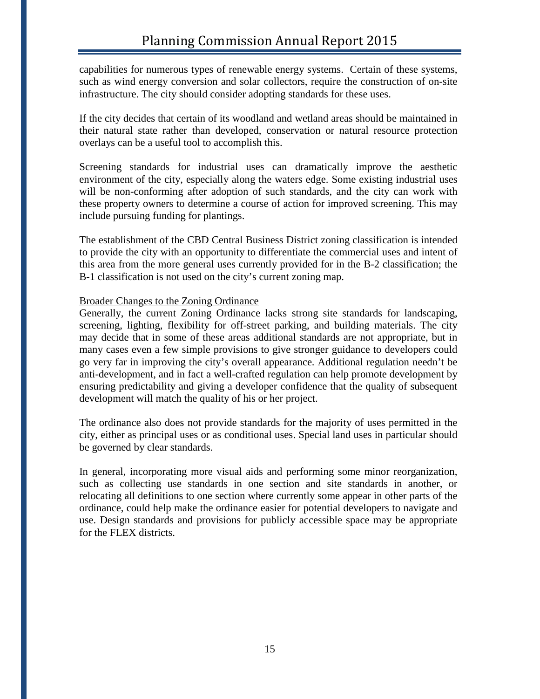capabilities for numerous types of renewable energy systems. Certain of these systems, such as wind energy conversion and solar collectors, require the construction of on-site infrastructure. The city should consider adopting standards for these uses.

If the city decides that certain of its woodland and wetland areas should be maintained in their natural state rather than developed, conservation or natural resource protection overlays can be a useful tool to accomplish this.

Screening standards for industrial uses can dramatically improve the aesthetic environment of the city, especially along the waters edge. Some existing industrial uses will be non-conforming after adoption of such standards, and the city can work with these property owners to determine a course of action for improved screening. This may include pursuing funding for plantings.

The establishment of the CBD Central Business District zoning classification is intended to provide the city with an opportunity to differentiate the commercial uses and intent of this area from the more general uses currently provided for in the B-2 classification; the B-1 classification is not used on the city's current zoning map.

#### Broader Changes to the Zoning Ordinance

Generally, the current Zoning Ordinance lacks strong site standards for landscaping, screening, lighting, flexibility for off-street parking, and building materials. The city may decide that in some of these areas additional standards are not appropriate, but in many cases even a few simple provisions to give stronger guidance to developers could go very far in improving the city's overall appearance. Additional regulation needn't be anti-development, and in fact a well-crafted regulation can help promote development by ensuring predictability and giving a developer confidence that the quality of subsequent development will match the quality of his or her project.

The ordinance also does not provide standards for the majority of uses permitted in the city, either as principal uses or as conditional uses. Special land uses in particular should be governed by clear standards.

In general, incorporating more visual aids and performing some minor reorganization, such as collecting use standards in one section and site standards in another, or relocating all definitions to one section where currently some appear in other parts of the ordinance, could help make the ordinance easier for potential developers to navigate and use. Design standards and provisions for publicly accessible space may be appropriate for the FLEX districts.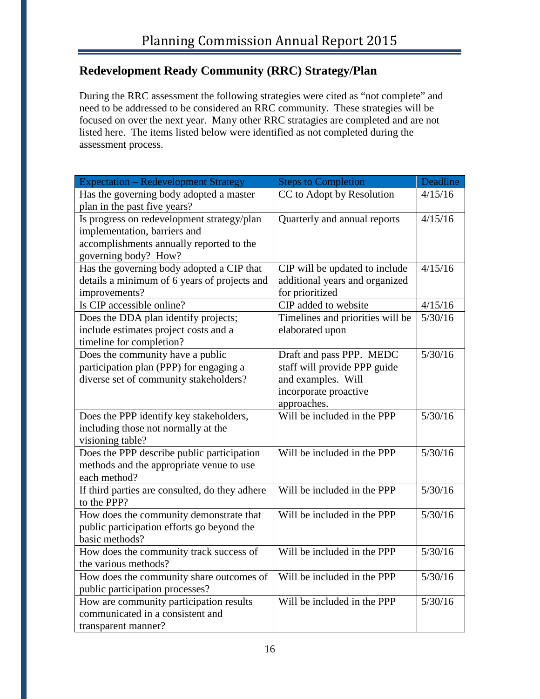# **Redevelopment Ready Community (RRC) Strategy/Plan**

During the RRC assessment the following strategies were cited as "not complete" and need to be addressed to be considered an RRC community. These strategies will be focused on over the next year. Many other RRC stratagies are completed and are not listed here. The items listed below were identified as not completed during the assessment process.

| <b>Expectation – Redevelopment Strategy</b>                                                                                                    | <b>Steps to Completion</b>                                                                                             | Deadline |
|------------------------------------------------------------------------------------------------------------------------------------------------|------------------------------------------------------------------------------------------------------------------------|----------|
| Has the governing body adopted a master<br>plan in the past five years?                                                                        | CC to Adopt by Resolution                                                                                              | 4/15/16  |
| Is progress on redevelopment strategy/plan<br>implementation, barriers and<br>accomplishments annually reported to the<br>governing body? How? | Quarterly and annual reports                                                                                           | 4/15/16  |
| Has the governing body adopted a CIP that<br>details a minimum of 6 years of projects and<br>improvements?                                     | CIP will be updated to include<br>additional years and organized<br>for prioritized                                    | 4/15/16  |
| Is CIP accessible online?                                                                                                                      | CIP added to website                                                                                                   | 4/15/16  |
| Does the DDA plan identify projects;<br>include estimates project costs and a<br>timeline for completion?                                      | Timelines and priorities will be<br>elaborated upon                                                                    | 5/30/16  |
| Does the community have a public<br>participation plan (PPP) for engaging a<br>diverse set of community stakeholders?                          | Draft and pass PPP. MEDC<br>staff will provide PPP guide<br>and examples. Will<br>incorporate proactive<br>approaches. | 5/30/16  |
| Does the PPP identify key stakeholders,<br>including those not normally at the<br>visioning table?                                             | Will be included in the PPP                                                                                            | 5/30/16  |
| Does the PPP describe public participation<br>methods and the appropriate venue to use<br>each method?                                         | Will be included in the PPP                                                                                            | 5/30/16  |
| If third parties are consulted, do they adhere<br>to the PPP?                                                                                  | Will be included in the PPP                                                                                            | 5/30/16  |
| How does the community demonstrate that<br>public participation efforts go beyond the<br>basic methods?                                        | Will be included in the PPP                                                                                            | 5/30/16  |
| How does the community track success of<br>the various methods?                                                                                | Will be included in the PPP                                                                                            | 5/30/16  |
| How does the community share outcomes of<br>public participation processes?                                                                    | Will be included in the PPP                                                                                            | 5/30/16  |
| How are community participation results<br>communicated in a consistent and<br>transparent manner?                                             | Will be included in the PPP                                                                                            | 5/30/16  |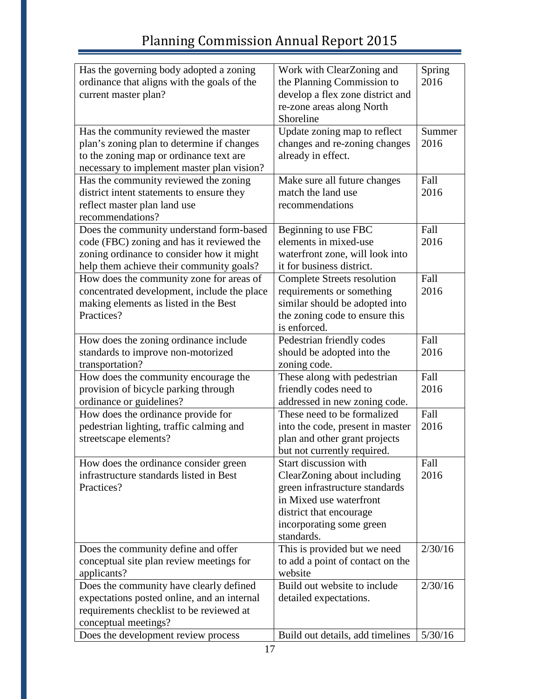| Has the governing body adopted a zoning<br>Work with ClearZoning and           | Spring  |
|--------------------------------------------------------------------------------|---------|
| ordinance that aligns with the goals of the<br>the Planning Commission to      | 2016    |
| develop a flex zone district and<br>current master plan?                       |         |
| re-zone areas along North                                                      |         |
| Shoreline                                                                      |         |
| Has the community reviewed the master<br>Update zoning map to reflect          | Summer  |
| plan's zoning plan to determine if changes<br>changes and re-zoning changes    | 2016    |
| already in effect.<br>to the zoning map or ordinance text are                  |         |
| necessary to implement master plan vision?                                     |         |
| Has the community reviewed the zoning<br>Make sure all future changes          | Fall    |
| district intent statements to ensure they<br>match the land use                | 2016    |
| reflect master plan land use<br>recommendations                                |         |
| recommendations?                                                               |         |
| Does the community understand form-based<br>Beginning to use FBC               | Fall    |
| code (FBC) zoning and has it reviewed the<br>elements in mixed-use             | 2016    |
| zoning ordinance to consider how it might<br>waterfront zone, will look into   |         |
| it for business district.<br>help them achieve their community goals?          |         |
| How does the community zone for areas of<br><b>Complete Streets resolution</b> | Fall    |
| concentrated development, include the place<br>requirements or something       | 2016    |
| making elements as listed in the Best<br>similar should be adopted into        |         |
| Practices?<br>the zoning code to ensure this                                   |         |
| is enforced.                                                                   |         |
| How does the zoning ordinance include<br>Pedestrian friendly codes             | Fall    |
| should be adopted into the<br>standards to improve non-motorized               | 2016    |
| transportation?<br>zoning code.                                                |         |
| How does the community encourage the<br>These along with pedestrian            | Fall    |
| provision of bicycle parking through<br>friendly codes need to                 | 2016    |
| ordinance or guidelines?<br>addressed in new zoning code.                      |         |
| These need to be formalized<br>How does the ordinance provide for              | Fall    |
| pedestrian lighting, traffic calming and<br>into the code, present in master   | 2016    |
| streetscape elements?<br>plan and other grant projects                         |         |
| but not currently required.                                                    |         |
| Start discussion with<br>How does the ordinance consider green                 | Fall    |
| infrastructure standards listed in Best<br>ClearZoning about including         | 2016    |
| Practices?<br>green infrastructure standards                                   |         |
| in Mixed use waterfront                                                        |         |
| district that encourage                                                        |         |
| incorporating some green                                                       |         |
| standards.                                                                     |         |
| This is provided but we need<br>Does the community define and offer            | 2/30/16 |
| conceptual site plan review meetings for<br>to add a point of contact on the   |         |
| website<br>applicants?                                                         |         |
| Does the community have clearly defined<br>Build out website to include        | 2/30/16 |
| expectations posted online, and an internal<br>detailed expectations.          |         |
| requirements checklist to be reviewed at                                       |         |
| conceptual meetings?                                                           |         |
| Does the development review process<br>Build out details, add timelines        | 5/30/16 |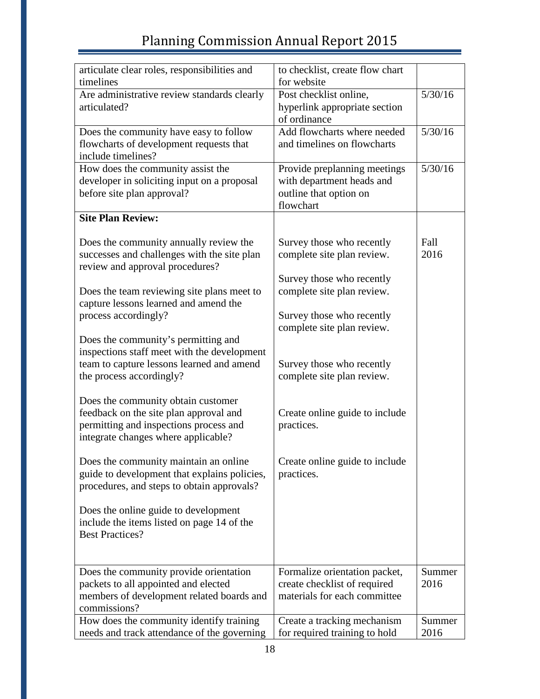| articulate clear roles, responsibilities and                                      | to checklist, create flow chart                              |                |
|-----------------------------------------------------------------------------------|--------------------------------------------------------------|----------------|
| timelines                                                                         | for website                                                  |                |
| Are administrative review standards clearly                                       | Post checklist online,                                       | 5/30/16        |
| articulated?                                                                      | hyperlink appropriate section                                |                |
|                                                                                   | of ordinance                                                 |                |
| Does the community have easy to follow                                            | Add flowcharts where needed                                  | 5/30/16        |
| flowcharts of development requests that                                           | and timelines on flowcharts                                  |                |
| include timelines?                                                                |                                                              |                |
| How does the community assist the                                                 | Provide preplanning meetings                                 | 5/30/16        |
| developer in soliciting input on a proposal                                       | with department heads and                                    |                |
| before site plan approval?                                                        | outline that option on                                       |                |
| <b>Site Plan Review:</b>                                                          | flowchart                                                    |                |
|                                                                                   |                                                              |                |
| Does the community annually review the                                            | Survey those who recently                                    | Fall           |
| successes and challenges with the site plan                                       | complete site plan review.                                   | 2016           |
| review and approval procedures?                                                   |                                                              |                |
|                                                                                   | Survey those who recently                                    |                |
| Does the team reviewing site plans meet to                                        | complete site plan review.                                   |                |
| capture lessons learned and amend the                                             |                                                              |                |
| process accordingly?                                                              | Survey those who recently                                    |                |
|                                                                                   | complete site plan review.                                   |                |
| Does the community's permitting and                                               |                                                              |                |
| inspections staff meet with the development                                       |                                                              |                |
| team to capture lessons learned and amend                                         | Survey those who recently                                    |                |
| the process accordingly?                                                          | complete site plan review.                                   |                |
|                                                                                   |                                                              |                |
| Does the community obtain customer                                                |                                                              |                |
| feedback on the site plan approval and<br>permitting and inspections process and  | Create online guide to include<br>practices.                 |                |
|                                                                                   |                                                              |                |
| integrate changes where applicable?                                               |                                                              |                |
| Does the community maintain an online                                             | Create online guide to include                               |                |
| guide to development that explains policies,                                      | practices.                                                   |                |
| procedures, and steps to obtain approvals?                                        |                                                              |                |
|                                                                                   |                                                              |                |
| Does the online guide to development                                              |                                                              |                |
| include the items listed on page 14 of the                                        |                                                              |                |
| <b>Best Practices?</b>                                                            |                                                              |                |
|                                                                                   |                                                              |                |
|                                                                                   |                                                              |                |
| Does the community provide orientation                                            | Formalize orientation packet,                                | Summer<br>2016 |
| packets to all appointed and elected<br>members of development related boards and | create checklist of required<br>materials for each committee |                |
| commissions?                                                                      |                                                              |                |
| How does the community identify training                                          | Create a tracking mechanism                                  | Summer         |
| needs and track attendance of the governing                                       | for required training to hold                                | 2016           |
|                                                                                   |                                                              |                |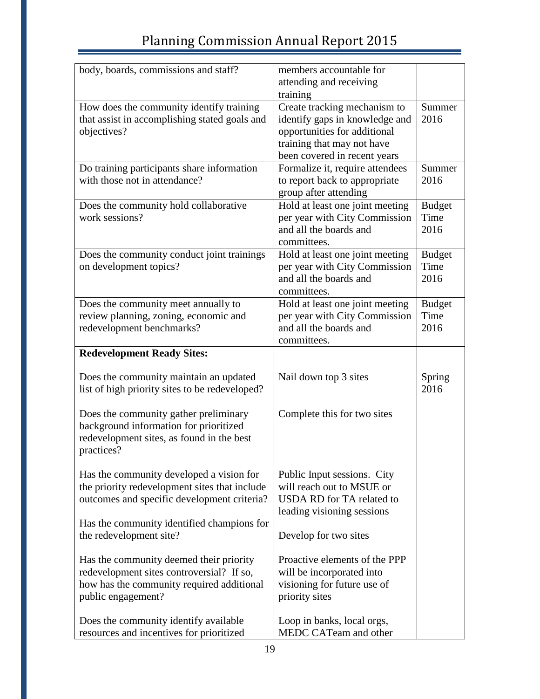| body, boards, commissions and staff?                    | members accountable for                                    |               |
|---------------------------------------------------------|------------------------------------------------------------|---------------|
|                                                         | attending and receiving                                    |               |
|                                                         | training                                                   |               |
| How does the community identify training                | Create tracking mechanism to                               | Summer        |
| that assist in accomplishing stated goals and           | identify gaps in knowledge and                             | 2016          |
| objectives?                                             | opportunities for additional                               |               |
|                                                         | training that may not have<br>been covered in recent years |               |
| Do training participants share information              | Formalize it, require attendees                            | Summer        |
| with those not in attendance?                           | to report back to appropriate                              | 2016          |
|                                                         | group after attending                                      |               |
| Does the community hold collaborative                   | Hold at least one joint meeting                            | <b>Budget</b> |
| work sessions?                                          | per year with City Commission                              | Time          |
|                                                         | and all the boards and                                     | 2016          |
|                                                         | committees.                                                |               |
| Does the community conduct joint trainings              | Hold at least one joint meeting                            | <b>Budget</b> |
| on development topics?                                  | per year with City Commission                              | Time          |
|                                                         | and all the boards and                                     | 2016          |
|                                                         | committees.                                                |               |
| Does the community meet annually to                     | Hold at least one joint meeting                            | <b>Budget</b> |
| review planning, zoning, economic and                   | per year with City Commission                              | Time          |
| redevelopment benchmarks?                               | and all the boards and                                     | 2016          |
|                                                         | committees.                                                |               |
| <b>Redevelopment Ready Sites:</b>                       |                                                            |               |
|                                                         |                                                            |               |
| Does the community maintain an updated                  | Nail down top 3 sites                                      | Spring        |
| list of high priority sites to be redeveloped?          |                                                            | 2016          |
|                                                         |                                                            |               |
| Does the community gather preliminary                   | Complete this for two sites                                |               |
| background information for prioritized                  |                                                            |               |
| redevelopment sites, as found in the best<br>practices? |                                                            |               |
|                                                         |                                                            |               |
| Has the community developed a vision for                | Public Input sessions. City                                |               |
| the priority redevelopment sites that include           | will reach out to MSUE or                                  |               |
| outcomes and specific development criteria?             | USDA RD for TA related to                                  |               |
|                                                         | leading visioning sessions                                 |               |
| Has the community identified champions for              |                                                            |               |
| the redevelopment site?                                 | Develop for two sites                                      |               |
|                                                         |                                                            |               |
| Has the community deemed their priority                 | Proactive elements of the PPP                              |               |
| redevelopment sites controversial? If so,               | will be incorporated into                                  |               |
| how has the community required additional               | visioning for future use of                                |               |
| public engagement?                                      | priority sites                                             |               |
|                                                         |                                                            |               |
| Does the community identify available                   | Loop in banks, local orgs,                                 |               |
| resources and incentives for prioritized                | MEDC CATeam and other                                      |               |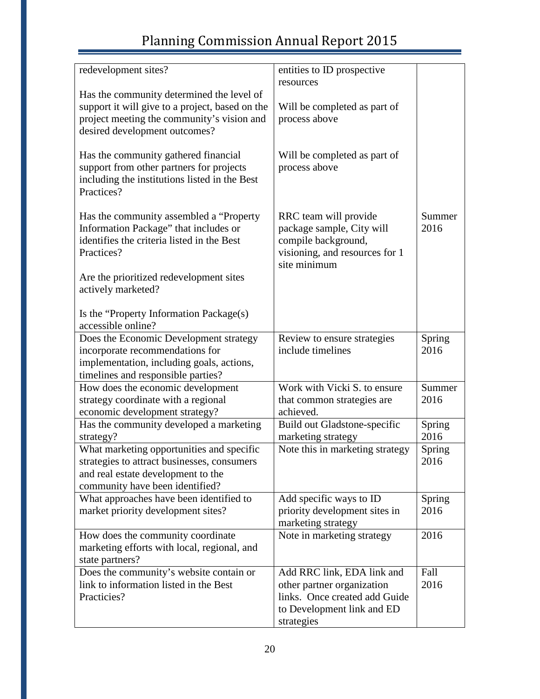| redevelopment sites?                            | entities to ID prospective      |        |
|-------------------------------------------------|---------------------------------|--------|
|                                                 | resources                       |        |
| Has the community determined the level of       |                                 |        |
| support it will give to a project, based on the | Will be completed as part of    |        |
| project meeting the community's vision and      | process above                   |        |
| desired development outcomes?                   |                                 |        |
|                                                 |                                 |        |
| Has the community gathered financial            | Will be completed as part of    |        |
| support from other partners for projects        | process above                   |        |
| including the institutions listed in the Best   |                                 |        |
| Practices?                                      |                                 |        |
| Has the community assembled a "Property"        | RRC team will provide           | Summer |
| Information Package" that includes or           | package sample, City will       | 2016   |
| identifies the criteria listed in the Best      | compile background,             |        |
| Practices?                                      | visioning, and resources for 1  |        |
|                                                 | site minimum                    |        |
| Are the prioritized redevelopment sites         |                                 |        |
| actively marketed?                              |                                 |        |
|                                                 |                                 |        |
| Is the "Property Information Package(s)         |                                 |        |
| accessible online?                              |                                 |        |
| Does the Economic Development strategy          | Review to ensure strategies     | Spring |
| incorporate recommendations for                 | include timelines               | 2016   |
| implementation, including goals, actions,       |                                 |        |
| timelines and responsible parties?              |                                 |        |
| How does the economic development               | Work with Vicki S. to ensure    | Summer |
| strategy coordinate with a regional             | that common strategies are      | 2016   |
| economic development strategy?                  | achieved.                       |        |
| Has the community developed a marketing         | Build out Gladstone-specific    | Spring |
| strategy?                                       | marketing strategy              | 2016   |
| What marketing opportunities and specific       | Note this in marketing strategy | Spring |
| strategies to attract businesses, consumers     |                                 | 2016   |
| and real estate development to the              |                                 |        |
| community have been identified?                 |                                 |        |
| What approaches have been identified to         | Add specific ways to ID         | Spring |
| market priority development sites?              | priority development sites in   | 2016   |
|                                                 | marketing strategy              |        |
| How does the community coordinate               | Note in marketing strategy      | 2016   |
| marketing efforts with local, regional, and     |                                 |        |
| state partners?                                 |                                 |        |
| Does the community's website contain or         | Add RRC link, EDA link and      | Fall   |
| link to information listed in the Best          | other partner organization      | 2016   |
| Practicies?                                     | links. Once created add Guide   |        |
|                                                 | to Development link and ED      |        |
|                                                 | strategies                      |        |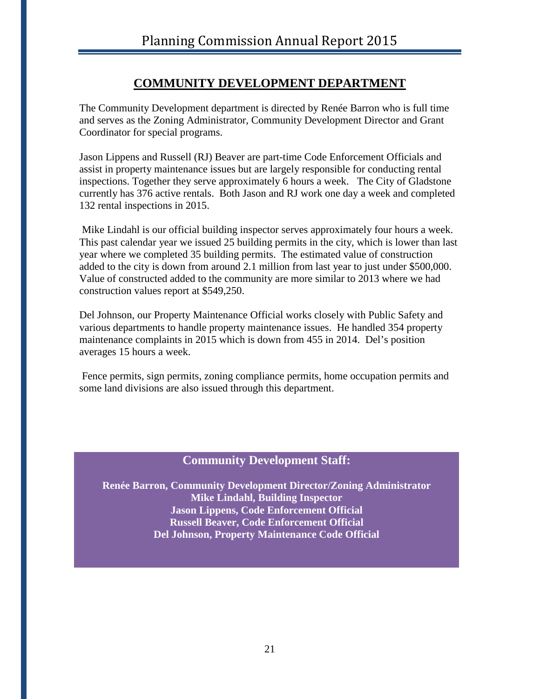### **COMMUNITY DEVELOPMENT DEPARTMENT**

The Community Development department is directed by Renée Barron who is full time and serves as the Zoning Administrator, Community Development Director and Grant Coordinator for special programs.

Jason Lippens and Russell (RJ) Beaver are part-time Code Enforcement Officials and assist in property maintenance issues but are largely responsible for conducting rental inspections. Together they serve approximately 6 hours a week. The City of Gladstone currently has 376 active rentals. Both Jason and RJ work one day a week and completed 132 rental inspections in 2015.

Mike Lindahl is our official building inspector serves approximately four hours a week. This past calendar year we issued 25 building permits in the city, which is lower than last year where we completed 35 building permits. The estimated value of construction added to the city is down from around 2.1 million from last year to just under \$500,000. Value of constructed added to the community are more similar to 2013 where we had construction values report at \$549,250.

Del Johnson, our Property Maintenance Official works closely with Public Safety and various departments to handle property maintenance issues. He handled 354 property maintenance complaints in 2015 which is down from 455 in 2014. Del's position averages 15 hours a week.

Fence permits, sign permits, zoning compliance permits, home occupation permits and some land divisions are also issued through this department.

### **Community Development Staff:**

**Renée Barron, Community Development Director/Zoning Administrator Mike Lindahl, Building Inspector Jason Lippens, Code Enforcement Official Russell Beaver, Code Enforcement Official Del Johnson, Property Maintenance Code Official**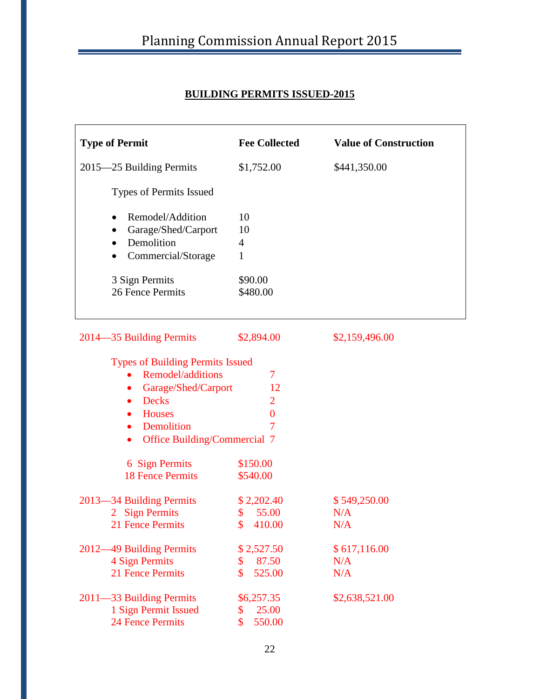## **BUILDING PERMITS ISSUED-2015**

| <b>Type of Permit</b>                                                                                                                                                                                     | <b>Fee Collected</b>                                      | <b>Value of Construction</b> |
|-----------------------------------------------------------------------------------------------------------------------------------------------------------------------------------------------------------|-----------------------------------------------------------|------------------------------|
| 2015–25 Building Permits                                                                                                                                                                                  | \$1,752.00                                                | \$441,350.00                 |
| Types of Permits Issued                                                                                                                                                                                   |                                                           |                              |
| Remodel/Addition<br>$\bullet$<br>Garage/Shed/Carport<br>Demolition<br>$\bullet$<br>Commercial/Storage                                                                                                     | 10<br>10<br>$\overline{4}$<br>1                           |                              |
| 3 Sign Permits<br>26 Fence Permits                                                                                                                                                                        | \$90.00<br>\$480.00                                       |                              |
| 2014–35 Building Permits                                                                                                                                                                                  | \$2,894.00                                                | \$2,159,496.00               |
| <b>Types of Building Permits Issued</b><br>Remodel/additions<br>Garage/Shed/Carport<br>$\bullet$<br><b>Decks</b><br>$\bullet$<br><b>Houses</b><br>Demolition<br>Office Building/Commercial 7<br>$\bullet$ | 7<br>12<br>$\overline{2}$<br>$\bf{0}$<br>7                |                              |
| 6 Sign Permits<br><b>18 Fence Permits</b>                                                                                                                                                                 | \$150.00<br>\$540.00                                      |                              |
| 2013-34 Building Permits<br><b>Sign Permits</b><br>$\overline{2}$<br>21 Fence Permits                                                                                                                     | \$2,202.40<br>55.00<br>\$<br>410.00<br>\$                 | \$549,250.00<br>N/A<br>N/A   |
| 2012–49 Building Permits<br>4 Sign Permits<br>21 Fence Permits                                                                                                                                            | \$2,527.50<br>87.50<br>\$<br>$\mathbf{\hat{S}}$<br>525.00 | \$617,116.00<br>N/A<br>N/A   |
| 2011-33 Building Permits<br>1 Sign Permit Issued<br><b>24 Fence Permits</b>                                                                                                                               | \$6,257.35<br>25.00<br>\$<br>\$<br>550.00                 | \$2,638,521.00               |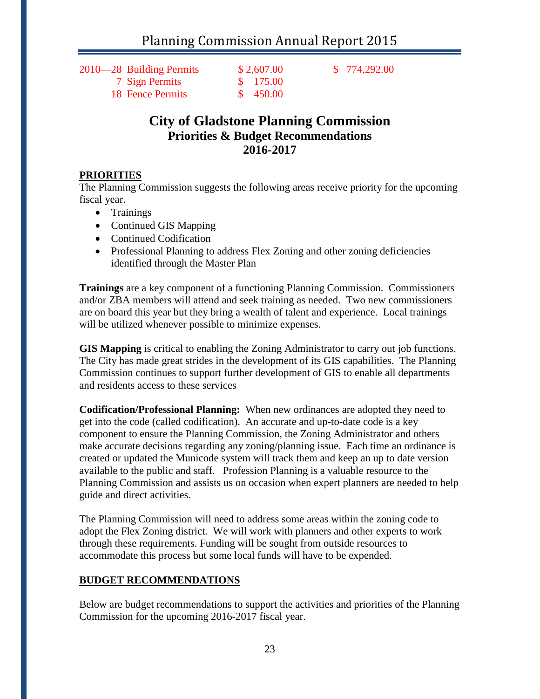2010—28 Building Permits \$ 2,607.00 \$ 774,292.00

 7 Sign Permits \$ 175.00 18 Fence Permits \$ 450.00

## **City of Gladstone Planning Commission Priorities & Budget Recommendations 2016-2017**

### **PRIORITIES**

The Planning Commission suggests the following areas receive priority for the upcoming fiscal year.

- Trainings
- Continued GIS Mapping
- Continued Codification
- Professional Planning to address Flex Zoning and other zoning deficiencies identified through the Master Plan

**Trainings** are a key component of a functioning Planning Commission. Commissioners and/or ZBA members will attend and seek training as needed. Two new commissioners are on board this year but they bring a wealth of talent and experience. Local trainings will be utilized whenever possible to minimize expenses.

**GIS Mapping** is critical to enabling the Zoning Administrator to carry out job functions. The City has made great strides in the development of its GIS capabilities. The Planning Commission continues to support further development of GIS to enable all departments and residents access to these services

**Codification/Professional Planning:** When new ordinances are adopted they need to get into the code (called codification). An accurate and up-to-date code is a key component to ensure the Planning Commission, the Zoning Administrator and others make accurate decisions regarding any zoning/planning issue. Each time an ordinance is created or updated the Municode system will track them and keep an up to date version available to the public and staff. Profession Planning is a valuable resource to the Planning Commission and assists us on occasion when expert planners are needed to help guide and direct activities.

The Planning Commission will need to address some areas within the zoning code to adopt the Flex Zoning district. We will work with planners and other experts to work through these requirements. Funding will be sought from outside resources to accommodate this process but some local funds will have to be expended.

### **BUDGET RECOMMENDATIONS**

Below are budget recommendations to support the activities and priorities of the Planning Commission for the upcoming 2016-2017 fiscal year.